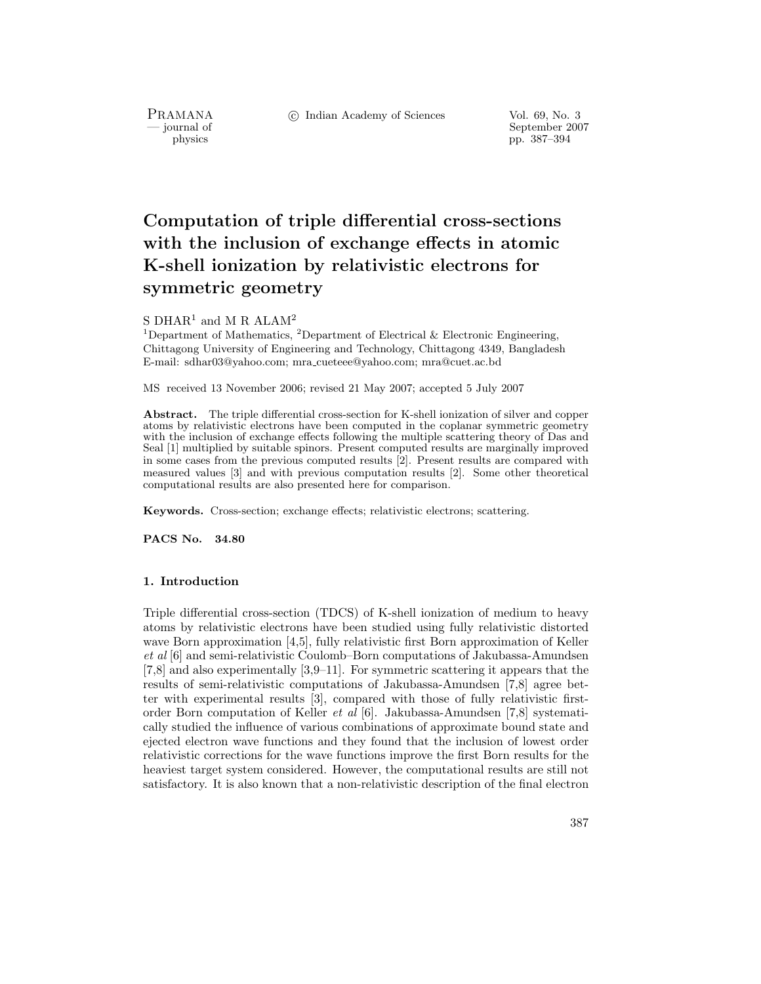PRAMANA<br>— journal of

c Indian Academy of Sciences Vol. 69, No. 3

September 2007 physics pp. 387–394

# **Computation of triple differential cross-sections with the inclusion of exchange effects in atomic K-shell ionization by relativistic electrons for symmetric geometry**

# S  $\mathrm{DHAR}^1$  and M R  $\mathrm{ALAM}^2$

<sup>1</sup>Department of Mathematics, <sup>2</sup>Department of Electrical & Electronic Engineering, Chittagong University of Engineering and Technology, Chittagong 4349, Bangladesh E-mail: sdhar03@yahoo.com; mra cueteee@yahoo.com; mra@cuet.ac.bd

MS received 13 November 2006; revised 21 May 2007; accepted 5 July 2007

**Abstract.** The triple differential cross-section for K-shell ionization of silver and copper atoms by relativistic electrons have been computed in the coplanar symmetric geometry with the inclusion of exchange effects following the multiple scattering theory of Das and Seal [1] multiplied by suitable spinors. Present computed results are marginally improved in some cases from the previous computed results [2]. Present results are compared with measured values [3] and with previous computation results [2]. Some other theoretical computational results are also presented here for comparison.

**Keywords.** Cross-section; exchange effects; relativistic electrons; scattering.

**PACS No. 34.80**

# **1. Introduction**

Triple differential cross-section (TDCS) of K-shell ionization of medium to heavy atoms by relativistic electrons have been studied using fully relativistic distorted wave Born approximation [4,5], fully relativistic first Born approximation of Keller *et al* [6] and semi-relativistic Coulomb–Born computations of Jakubassa-Amundsen [7,8] and also experimentally [3,9–11]. For symmetric scattering it appears that the results of semi-relativistic computations of Jakubassa-Amundsen [7,8] agree better with experimental results [3], compared with those of fully relativistic firstorder Born computation of Keller *et al* [6]. Jakubassa-Amundsen [7,8] systematically studied the influence of various combinations of approximate bound state and ejected electron wave functions and they found that the inclusion of lowest order relativistic corrections for the wave functions improve the first Born results for the heaviest target system considered. However, the computational results are still not satisfactory. It is also known that a non-relativistic description of the final electron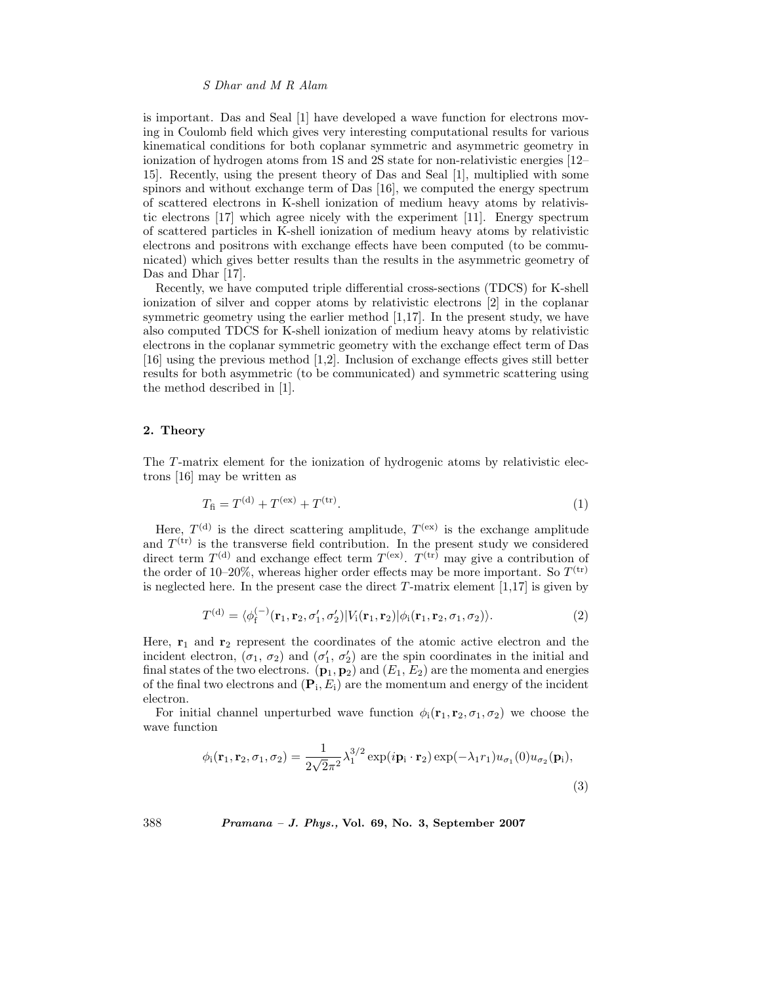#### *S Dhar and M R Alam*

is important. Das and Seal [1] have developed a wave function for electrons moving in Coulomb field which gives very interesting computational results for various kinematical conditions for both coplanar symmetric and asymmetric geometry in ionization of hydrogen atoms from 1S and 2S state for non-relativistic energies [12– 15]. Recently, using the present theory of Das and Seal [1], multiplied with some spinors and without exchange term of Das [16], we computed the energy spectrum of scattered electrons in K-shell ionization of medium heavy atoms by relativistic electrons [17] which agree nicely with the experiment [11]. Energy spectrum of scattered particles in K-shell ionization of medium heavy atoms by relativistic electrons and positrons with exchange effects have been computed (to be communicated) which gives better results than the results in the asymmetric geometry of Das and Dhar [17].

Recently, we have computed triple differential cross-sections (TDCS) for K-shell ionization of silver and copper atoms by relativistic electrons [2] in the coplanar symmetric geometry using the earlier method [1,17]. In the present study, we have also computed TDCS for K-shell ionization of medium heavy atoms by relativistic electrons in the coplanar symmetric geometry with the exchange effect term of Das [16] using the previous method [1,2]. Inclusion of exchange effects gives still better results for both asymmetric (to be communicated) and symmetric scattering using the method described in [1].

### **2. Theory**

The T-matrix element for the ionization of hydrogenic atoms by relativistic electrons [16] may be written as

$$
T_{\rm fi} = T^{(\rm d)} + T^{(\rm ex)} + T^{(\rm tr)}.\tag{1}
$$

Here,  $T^{(d)}$  is the direct scattering amplitude,  $T^{(ex)}$  is the exchange amplitude and  $T^{(tr)}$  is the transverse field contribution. In the present study we considered direct term  $T^{(d)}$  and exchange effect term  $T^{(ex)}$ .  $T^{(tr)}$  may give a contribution of the order of 10–20%, whereas higher order effects may be more important. So  $T^{(tr)}$ is neglected here. In the present case the direct  $T$ -matrix element [1,17] is given by

$$
T^{(\mathrm{d})} = \langle \phi_{\mathrm{f}}^{(-)}(\mathbf{r}_1, \mathbf{r}_2, \sigma_1', \sigma_2') | V_{\mathrm{i}}(\mathbf{r}_1, \mathbf{r}_2) | \phi_{\mathrm{i}}(\mathbf{r}_1, \mathbf{r}_2, \sigma_1, \sigma_2) \rangle. \tag{2}
$$

Here, **r**<sup>1</sup> and **r**<sup>2</sup> represent the coordinates of the atomic active electron and the incident electron,  $(\sigma_1, \sigma_2)$  and  $(\sigma'_1, \sigma'_2)$  are the spin coordinates in the initial and final states of the two electrons.  $(\mathbf{p}_1, \mathbf{p}_2)$  and  $(E_1, E_2)$  are the momenta and energies of the final two electrons and  $(\mathbf{P}_i, E_i)$  are the momentum and energy of the incident electron.

For initial channel unperturbed wave function  $\phi_i(\mathbf{r}_1, \mathbf{r}_2, \sigma_1, \sigma_2)$  we choose the wave function

$$
\phi_{i}(\mathbf{r}_{1}, \mathbf{r}_{2}, \sigma_{1}, \sigma_{2}) = \frac{1}{2\sqrt{2}\pi^{2}} \lambda_{1}^{3/2} \exp(i\mathbf{p}_{i} \cdot \mathbf{r}_{2}) \exp(-\lambda_{1}r_{1}) u_{\sigma_{1}}(0) u_{\sigma_{2}}(\mathbf{p}_{i}),
$$
\n(3)

388 *Pramana – J. Phys.,* **Vol. 69, No. 3, September 2007**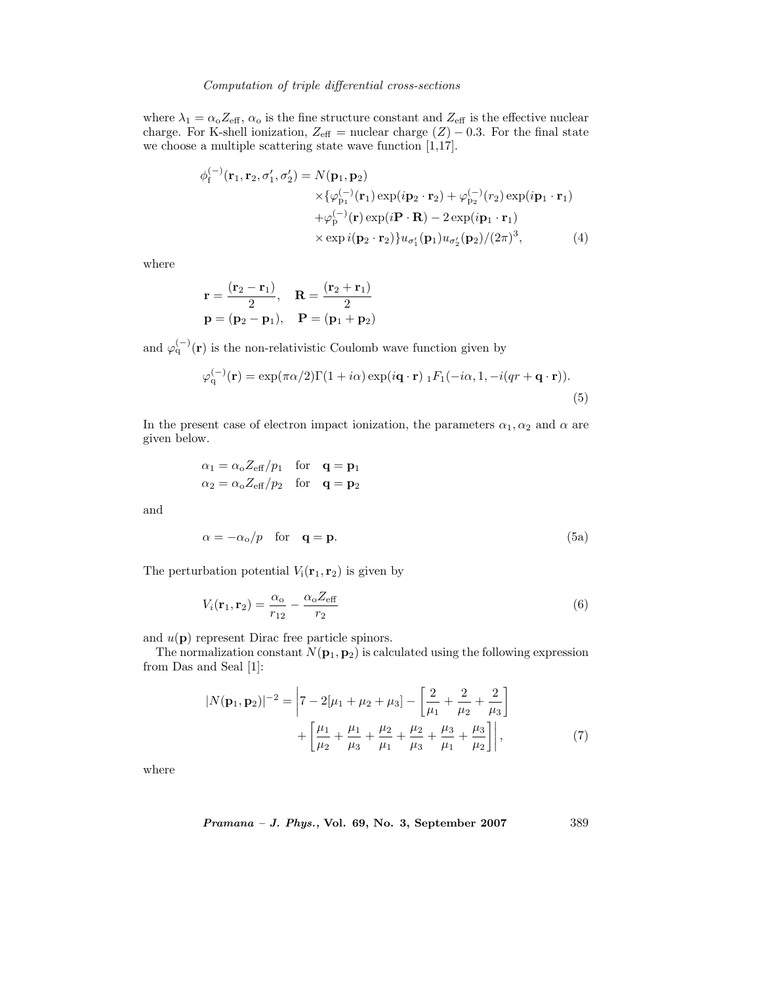#### *Computation of triple differential cross-sections*

where  $\lambda_1 = \alpha_0 Z_{\text{eff}}$ ,  $\alpha_0$  is the fine structure constant and  $Z_{\text{eff}}$  is the effective nuclear charge. For K-shell ionization,  $Z_{\text{eff}}$  = nuclear charge  $(Z)$  – 0.3. For the final state we choose a multiple scattering state wave function [1,17].

$$
\phi_{\mathbf{f}}^{(-)}(\mathbf{r}_{1}, \mathbf{r}_{2}, \sigma_{1}', \sigma_{2}') = N(\mathbf{p}_{1}, \mathbf{p}_{2})
$$
  
\n
$$
\times \{\varphi_{\mathbf{p}_{1}}^{(-)}(\mathbf{r}_{1}) \exp(i\mathbf{p}_{2} \cdot \mathbf{r}_{2}) + \varphi_{\mathbf{p}_{2}}^{(-)}(r_{2}) \exp(i\mathbf{p}_{1} \cdot \mathbf{r}_{1})
$$
  
\n
$$
+ \varphi_{\mathbf{p}}^{(-)}(\mathbf{r}) \exp(i\mathbf{P} \cdot \mathbf{R}) - 2 \exp(i\mathbf{p}_{1} \cdot \mathbf{r}_{1})
$$
  
\n
$$
\times \exp i(\mathbf{p}_{2} \cdot \mathbf{r}_{2})\} u_{\sigma_{1}'}(\mathbf{p}_{1}) u_{\sigma_{2}'}(\mathbf{p}_{2})/(2\pi)^{3},
$$
 (4)

where

$$
\mathbf{r} = \frac{(\mathbf{r}_2 - \mathbf{r}_1)}{2}, \quad \mathbf{R} = \frac{(\mathbf{r}_2 + \mathbf{r}_1)}{2}
$$

$$
\mathbf{p} = (\mathbf{p}_2 - \mathbf{p}_1), \quad \mathbf{P} = (\mathbf{p}_1 + \mathbf{p}_2)
$$

and  $\varphi_q^{(-)}(\mathbf{r})$  is the non-relativistic Coulomb wave function given by

$$
\varphi_{\mathbf{q}}^{(-)}(\mathbf{r}) = \exp(\pi \alpha/2) \Gamma(1 + i\alpha) \exp(i\mathbf{q} \cdot \mathbf{r}) \, {}_{1}F_{1}(-i\alpha, 1, -i(qr + \mathbf{q} \cdot \mathbf{r})).
$$
\n(5)

In the present case of electron impact ionization, the parameters  $\alpha_1, \alpha_2$  and  $\alpha$  are given below.

$$
\alpha_1 = \alpha_0 Z_{\text{eff}}/p_1 \quad \text{for} \quad \mathbf{q} = \mathbf{p}_1
$$
  

$$
\alpha_2 = \alpha_0 Z_{\text{eff}}/p_2 \quad \text{for} \quad \mathbf{q} = \mathbf{p}_2
$$

and

$$
\alpha = -\alpha_{\rm o}/p \quad \text{for} \quad \mathbf{q} = \mathbf{p}.\tag{5a}
$$

The perturbation potential  $V_i(\mathbf{r}_1, \mathbf{r}_2)$  is given by

$$
V_i(\mathbf{r}_1, \mathbf{r}_2) = \frac{\alpha_o}{r_{12}} - \frac{\alpha_o Z_{\text{eff}}}{r_2} \tag{6}
$$

and  $u(\mathbf{p})$  represent Dirac free particle spinors.

The normalization constant  $N(\mathbf{p}_1, \mathbf{p}_2)$  is calculated using the following expression from Das and Seal [1]:

$$
|N(\mathbf{p}_1, \mathbf{p}_2)|^{-2} = \left| 7 - 2[\mu_1 + \mu_2 + \mu_3] - \left[ \frac{2}{\mu_1} + \frac{2}{\mu_2} + \frac{2}{\mu_3} \right] + \left[ \frac{\mu_1}{\mu_2} + \frac{\mu_1}{\mu_3} + \frac{\mu_2}{\mu_1} + \frac{\mu_2}{\mu_3} + \frac{\mu_3}{\mu_1} + \frac{\mu_3}{\mu_2} \right] \right|,
$$
 (7)

where

$$
Pramana - J. Phys., Vol. 69, No. 3, September 2007 \qquad \qquad 389
$$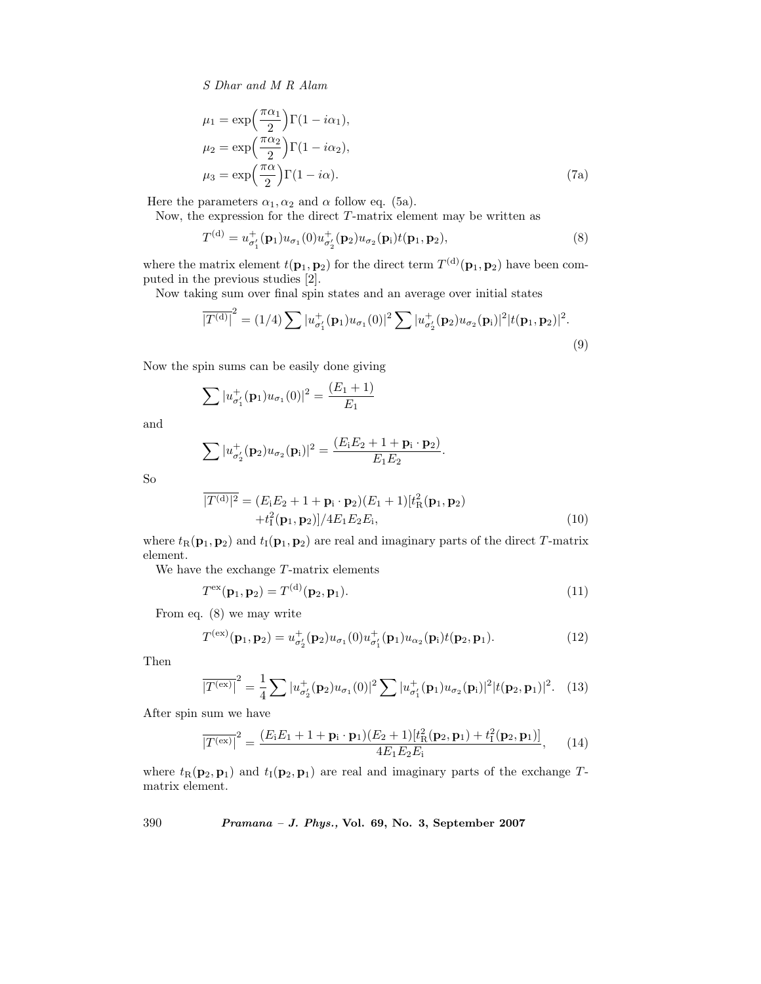*S Dhar and M R Alam*

$$
\mu_1 = \exp\left(\frac{\pi \alpha_1}{2}\right) \Gamma(1 - i\alpha_1),
$$
  
\n
$$
\mu_2 = \exp\left(\frac{\pi \alpha_2}{2}\right) \Gamma(1 - i\alpha_2),
$$
  
\n
$$
\mu_3 = \exp\left(\frac{\pi \alpha}{2}\right) \Gamma(1 - i\alpha).
$$
\n(7a)

Here the parameters  $\alpha_1, \alpha_2$  and  $\alpha$  follow eq. (5a).

Now, the expression for the direct  $T$ -matrix element may be written as

$$
T^{(d)} = u_{\sigma'_1}^+(\mathbf{p}_1)u_{\sigma_1}(0)u_{\sigma'_2}^+(\mathbf{p}_2)u_{\sigma_2}(\mathbf{p}_1)t(\mathbf{p}_1, \mathbf{p}_2),
$$
\n(8)

where the matrix element  $t(\mathbf{p}_1, \mathbf{p}_2)$  for the direct term  $T^{(d)}(\mathbf{p}_1, \mathbf{p}_2)$  have been computed in the previous studies [2].

Now taking sum over final spin states and an average over initial states

$$
\overline{|T^{(d)}|}^2 = (1/4) \sum |u_{\sigma_1'}^+(\mathbf{p}_1)u_{\sigma_1}(0)|^2 \sum |u_{\sigma_2'}^+(\mathbf{p}_2)u_{\sigma_2}(\mathbf{p}_1)|^2 |t(\mathbf{p}_1, \mathbf{p}_2)|^2.
$$
\n(9)

Now the spin sums can be easily done giving

$$
\sum |u_{\sigma'_1}^+(\mathbf{p}_1)u_{\sigma_1}(0)|^2 = \frac{(E_1+1)}{E_1}
$$

and

$$
\sum |u_{\sigma'_2}^+(\mathbf{p}_2)u_{\sigma_2}(\mathbf{p}_i)|^2 = \frac{(E_1E_2+1+\mathbf{p}_i\cdot\mathbf{p}_2)}{E_1E_2}
$$

So

$$
\overline{|T^{(d)}|^2} = (E_1E_2 + 1 + \mathbf{p}_1 \cdot \mathbf{p}_2)(E_1 + 1)[t_R^2(\mathbf{p}_1, \mathbf{p}_2) + t_I^2(\mathbf{p}_1, \mathbf{p}_2)]/4E_1E_2E_i,
$$
\n(10)

.

where  $t_{\rm R}(\mathbf{p}_1, \mathbf{p}_2)$  and  $t_{\rm I}(\mathbf{p}_1, \mathbf{p}_2)$  are real and imaginary parts of the direct T-matrix element.

We have the exchange T-matrix elements

$$
T^{\text{ex}}(\mathbf{p}_1, \mathbf{p}_2) = T^{(\text{d})}(\mathbf{p}_2, \mathbf{p}_1). \tag{11}
$$

From eq. (8) we may write

$$
T^{(ex)}(\mathbf{p}_1, \mathbf{p}_2) = u_{\sigma'_2}^+(\mathbf{p}_2)u_{\sigma_1}(0)u_{\sigma'_1}^+(\mathbf{p}_1)u_{\alpha_2}(\mathbf{p}_1)t(\mathbf{p}_2, \mathbf{p}_1).
$$
 (12)

Then

$$
\overline{\left|T^{(\text{ex})}\right|}^2 = \frac{1}{4} \sum |u_{\sigma_2'}^+(\mathbf{p}_2)u_{\sigma_1}(0)|^2 \sum |u_{\sigma_1'}^+(\mathbf{p}_1)u_{\sigma_2}(\mathbf{p}_i)|^2 |t(\mathbf{p}_2, \mathbf{p}_1)|^2. \tag{13}
$$

After spin sum we have

$$
\overline{|T^{(\text{ex})}|}^2 = \frac{(E_i E_1 + 1 + \mathbf{p}_i \cdot \mathbf{p}_1)(E_2 + 1)[t_R^2(\mathbf{p}_2, \mathbf{p}_1) + t_I^2(\mathbf{p}_2, \mathbf{p}_1)]}{4E_1 E_2 E_i}, \quad (14)
$$

where  $t_{\text{R}}(\mathbf{p}_2, \mathbf{p}_1)$  and  $t_{\text{I}}(\mathbf{p}_2, \mathbf{p}_1)$  are real and imaginary parts of the exchange Tmatrix element.

390 *Pramana – J. Phys.,* **Vol. 69, No. 3, September 2007**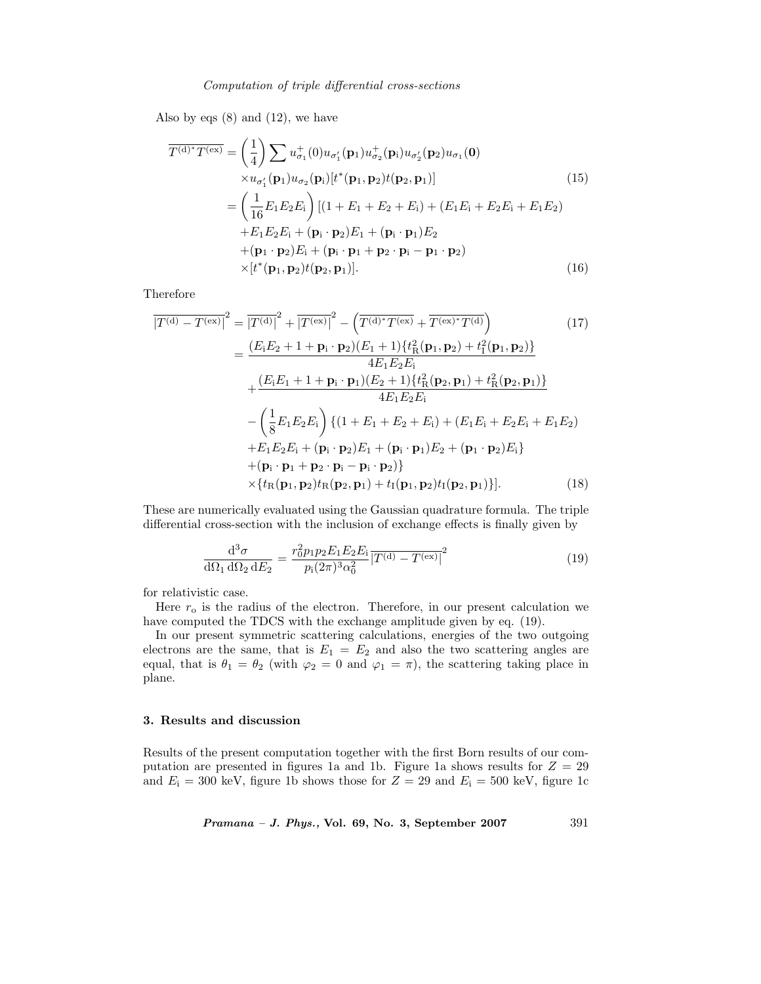#### *Computation of triple differential cross-sections*

Also by eqs  $(8)$  and  $(12)$ , we have

$$
\overline{T^{(d)*}T^{(ex)}} = \left(\frac{1}{4}\right) \sum u_{\sigma_1}^+(0)u_{\sigma_1}(\mathbf{p}_1)u_{\sigma_2}^+(\mathbf{p}_i)u_{\sigma_2}(\mathbf{p}_2)u_{\sigma_1}(\mathbf{0})
$$
\n
$$
\times u_{\sigma_1'}(\mathbf{p}_1)u_{\sigma_2}(\mathbf{p}_i)[t^*(\mathbf{p}_1, \mathbf{p}_2)t(\mathbf{p}_2, \mathbf{p}_1)]
$$
\n
$$
= \left(\frac{1}{16}E_1E_2E_i\right)[(1 + E_1 + E_2 + E_i) + (E_1E_i + E_2E_i + E_1E_2)
$$
\n
$$
+ E_1E_2E_i + (\mathbf{p}_i \cdot \mathbf{p}_2)E_1 + (\mathbf{p}_i \cdot \mathbf{p}_1)E_2
$$
\n
$$
+ (\mathbf{p}_1 \cdot \mathbf{p}_2)E_i + (\mathbf{p}_i \cdot \mathbf{p}_1 + \mathbf{p}_2 \cdot \mathbf{p}_i - \mathbf{p}_1 \cdot \mathbf{p}_2)
$$
\n
$$
\times [t^*(\mathbf{p}_1, \mathbf{p}_2)t(\mathbf{p}_2, \mathbf{p}_1)]. \tag{16}
$$

Therefore

$$
\overline{|T^{(d)} - T^{(ex)}|}^2 = \overline{|T^{(d)}|}^2 + \overline{|T^{(ex)}|}^2 - \left(\overline{T^{(d)*}T^{(ex)}} + \overline{T^{(ex)*}T^{(d)}}\right)
$$
(17)  
\n
$$
= \frac{(E_i E_2 + 1 + \mathbf{p}_i \cdot \mathbf{p}_2)(E_1 + 1)\{t_R^2(\mathbf{p}_1, \mathbf{p}_2) + t_I^2(\mathbf{p}_1, \mathbf{p}_2)\}}{4E_1 E_2 E_i}
$$
\n
$$
+ \frac{(E_i E_1 + 1 + \mathbf{p}_i \cdot \mathbf{p}_1)(E_2 + 1)\{t_R^2(\mathbf{p}_2, \mathbf{p}_1) + t_R^2(\mathbf{p}_2, \mathbf{p}_1)\}}{4E_1 E_2 E_i}
$$
\n
$$
- \left(\frac{1}{8} E_1 E_2 E_i\right) \{(1 + E_1 + E_2 + E_i) + (E_1 E_i + E_2 E_i + E_1 E_2)
$$
\n
$$
+ E_1 E_2 E_i + (\mathbf{p}_i \cdot \mathbf{p}_2) E_1 + (\mathbf{p}_i \cdot \mathbf{p}_1) E_2 + (\mathbf{p}_1 \cdot \mathbf{p}_2) E_i\}
$$
\n
$$
+ (\mathbf{p}_i \cdot \mathbf{p}_1 + \mathbf{p}_2 \cdot \mathbf{p}_i - \mathbf{p}_i \cdot \mathbf{p}_2)\}
$$
\n
$$
\times \{t_R(\mathbf{p}_1, \mathbf{p}_2) t_R(\mathbf{p}_2, \mathbf{p}_1) + t_I(\mathbf{p}_1, \mathbf{p}_2) t_I(\mathbf{p}_2, \mathbf{p}_1)\}].
$$
(18)

These are numerically evaluated using the Gaussian quadrature formula. The triple differential cross-section with the inclusion of exchange effects is finally given by

$$
\frac{\mathrm{d}^3 \sigma}{\mathrm{d}\Omega_1 \,\mathrm{d}\Omega_2 \,\mathrm{d}E_2} = \frac{r_0^2 p_1 p_2 E_1 E_2 E_i}{p_i (2\pi)^3 \alpha_0^2} \overline{\left| T^{(\mathrm{d})} - T^{(\mathrm{ex})} \right|^2} \tag{19}
$$

for relativistic case.

Here  $r_0$  is the radius of the electron. Therefore, in our present calculation we have computed the TDCS with the exchange amplitude given by eq. (19).

In our present symmetric scattering calculations, energies of the two outgoing electrons are the same, that is  $E_1 = E_2$  and also the two scattering angles are equal, that is  $\theta_1 = \theta_2$  (with  $\varphi_2 = 0$  and  $\varphi_1 = \pi$ ), the scattering taking place in plane.

# **3. Results and discussion**

Results of the present computation together with the first Born results of our computation are presented in figures 1a and 1b. Figure 1a shows results for  $Z = 29$ and  $E_i = 300$  keV, figure 1b shows those for  $Z = 29$  and  $E_i = 500$  keV, figure 1c

*Pramana – J. Phys.,* **Vol. 69, No. 3, September 2007** 391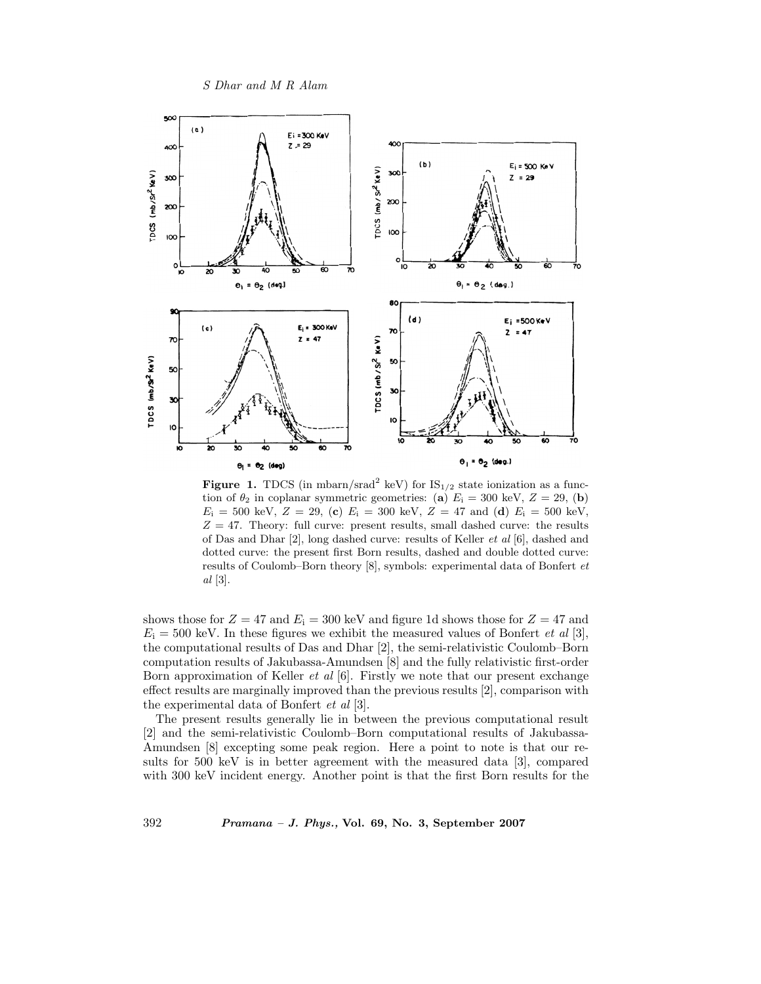*S Dhar and M R Alam*



**Figure 1.** TDCS (in mbarn/srad<sup>2</sup> keV) for  $IS_{1/2}$  state ionization as a function of  $\theta_2$  in coplanar symmetric geometries: (**a**)  $E_i = 300 \text{ keV}, Z = 29, (b)$  $E_i = 500 \text{ keV}, Z = 29, (c) E_i = 300 \text{ keV}, Z = 47 \text{ and } (d) E_i = 500 \text{ keV},$  $Z = 47$ . Theory: full curve: present results, small dashed curve: the results of Das and Dhar [2], long dashed curve: results of Keller *et al* [6], dashed and dotted curve: the present first Born results, dashed and double dotted curve: results of Coulomb–Born theory [8], symbols: experimental data of Bonfert *et al* [3].

shows those for  $Z = 47$  and  $E_i = 300$  keV and figure 1d shows those for  $Z = 47$  and  $E_i = 500$  keV. In these figures we exhibit the measured values of Bonfert *et al* [3], the computational results of Das and Dhar [2], the semi-relativistic Coulomb–Born computation results of Jakubassa-Amundsen [8] and the fully relativistic first-order Born approximation of Keller *et al* [6]. Firstly we note that our present exchange effect results are marginally improved than the previous results [2], comparison with the experimental data of Bonfert *et al* [3].

The present results generally lie in between the previous computational result [2] and the semi-relativistic Coulomb–Born computational results of Jakubassa-Amundsen [8] excepting some peak region. Here a point to note is that our results for 500 keV is in better agreement with the measured data [3], compared with 300 keV incident energy. Another point is that the first Born results for the

392 *Pramana – J. Phys.,* **Vol. 69, No. 3, September 2007**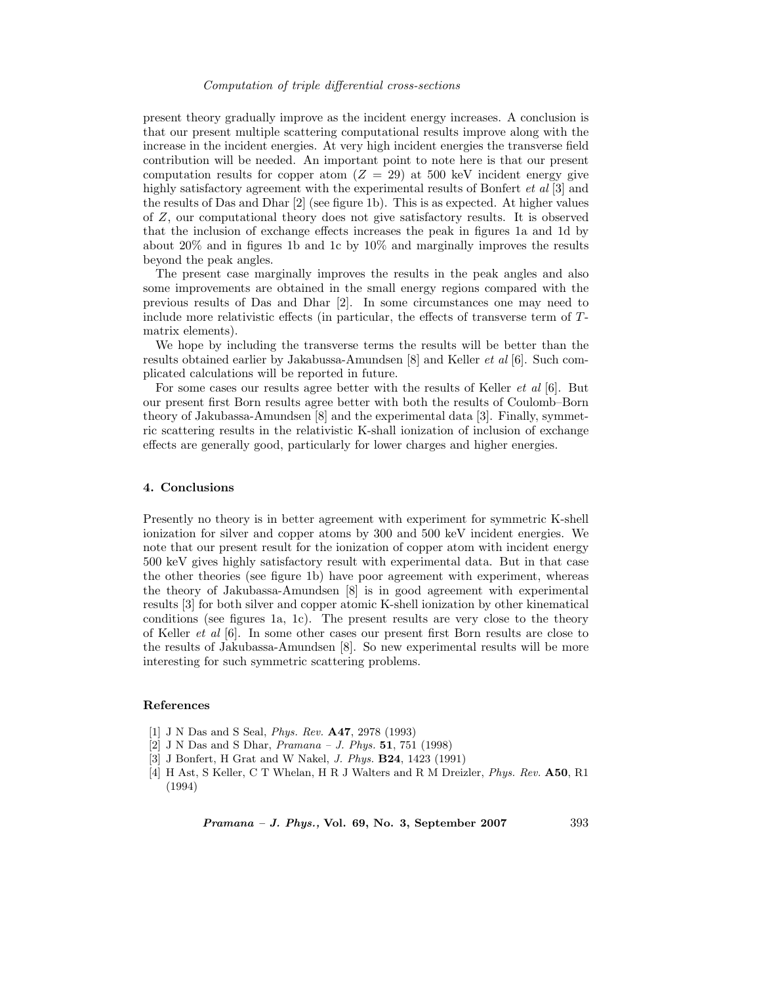#### *Computation of triple differential cross-sections*

present theory gradually improve as the incident energy increases. A conclusion is that our present multiple scattering computational results improve along with the increase in the incident energies. At very high incident energies the transverse field contribution will be needed. An important point to note here is that our present computation results for copper atom  $(Z = 29)$  at 500 keV incident energy give highly satisfactory agreement with the experimental results of Bonfert *et al* [3] and the results of Das and Dhar [2] (see figure 1b). This is as expected. At higher values of Z, our computational theory does not give satisfactory results. It is observed that the inclusion of exchange effects increases the peak in figures 1a and 1d by about 20% and in figures 1b and 1c by 10% and marginally improves the results beyond the peak angles.

The present case marginally improves the results in the peak angles and also some improvements are obtained in the small energy regions compared with the previous results of Das and Dhar [2]. In some circumstances one may need to include more relativistic effects (in particular, the effects of transverse term of Tmatrix elements).

We hope by including the transverse terms the results will be better than the results obtained earlier by Jakabussa-Amundsen [8] and Keller *et al* [6]. Such complicated calculations will be reported in future.

For some cases our results agree better with the results of Keller *et al* [6]. But our present first Born results agree better with both the results of Coulomb–Born theory of Jakubassa-Amundsen [8] and the experimental data [3]. Finally, symmetric scattering results in the relativistic K-shall ionization of inclusion of exchange effects are generally good, particularly for lower charges and higher energies.

#### **4. Conclusions**

Presently no theory is in better agreement with experiment for symmetric K-shell ionization for silver and copper atoms by 300 and 500 keV incident energies. We note that our present result for the ionization of copper atom with incident energy 500 keV gives highly satisfactory result with experimental data. But in that case the other theories (see figure 1b) have poor agreement with experiment, whereas the theory of Jakubassa-Amundsen [8] is in good agreement with experimental results [3] for both silver and copper atomic K-shell ionization by other kinematical conditions (see figures 1a, 1c). The present results are very close to the theory of Keller *et al* [6]. In some other cases our present first Born results are close to the results of Jakubassa-Amundsen [8]. So new experimental results will be more interesting for such symmetric scattering problems.

#### **References**

- [1] J N Das and S Seal, *Phys. Rev.* **A47**, 2978 (1993)
- [2] J N Das and S Dhar, *Pramana J. Phys.* **51**, 751 (1998)
- [3] J Bonfert, H Grat and W Nakel, *J. Phys.* **B24**, 1423 (1991)
- [4] H Ast, S Keller, C T Whelan, H R J Walters and R M Dreizler, *Phys. Rev.* **A50**, R1 (1994)

*Pramana – J. Phys.,* **Vol. 69, No. 3, September 2007** 393